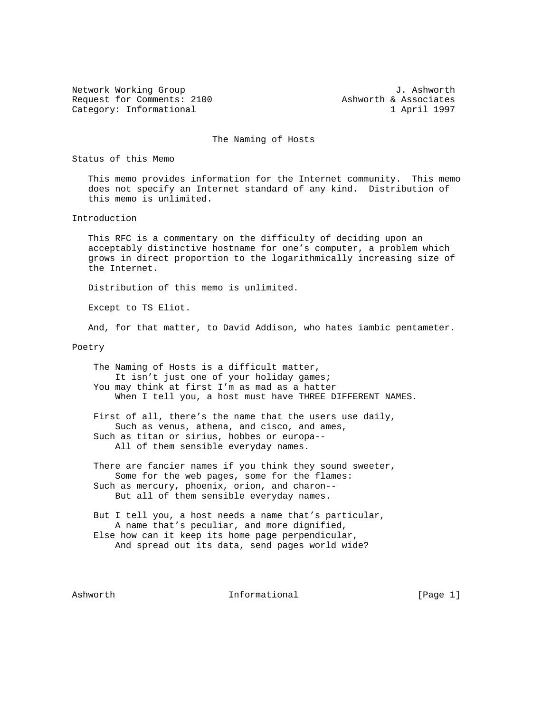Network Working Group 3. Ashworth J. Ashworth Request for Comments: 2100 Ashworth & Associates Category: Informational 1 1 April 1997

The Naming of Hosts

Status of this Memo

 This memo provides information for the Internet community. This memo does not specify an Internet standard of any kind. Distribution of this memo is unlimited.

Introduction

 This RFC is a commentary on the difficulty of deciding upon an acceptably distinctive hostname for one's computer, a problem which grows in direct proportion to the logarithmically increasing size of the Internet.

Distribution of this memo is unlimited.

Except to TS Eliot.

And, for that matter, to David Addison, who hates iambic pentameter.

## Poetry

 The Naming of Hosts is a difficult matter, It isn't just one of your holiday games; You may think at first I'm as mad as a hatter When I tell you, a host must have THREE DIFFERENT NAMES.

First of all, there's the name that the users use daily, Such as venus, athena, and cisco, and ames, Such as titan or sirius, hobbes or europa-- All of them sensible everyday names.

 There are fancier names if you think they sound sweeter, Some for the web pages, some for the flames: Such as mercury, phoenix, orion, and charon-- But all of them sensible everyday names.

 But I tell you, a host needs a name that's particular, A name that's peculiar, and more dignified, Else how can it keep its home page perpendicular, And spread out its data, send pages world wide?

Ashworth **Informational** Informational [Page 1]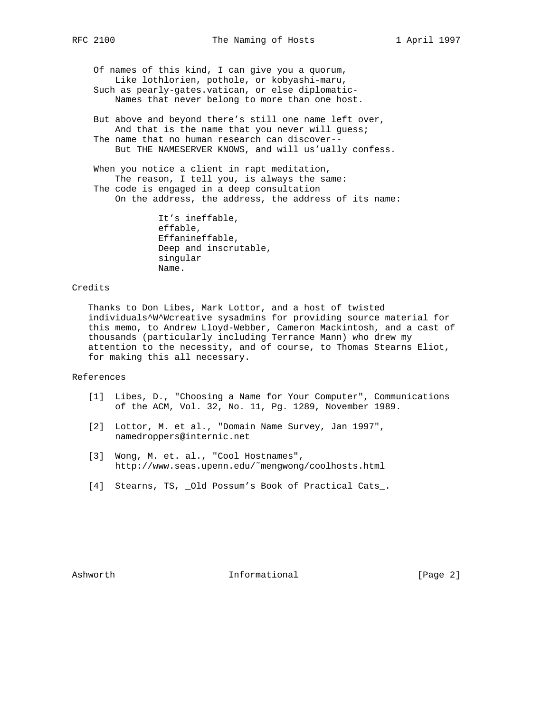Of names of this kind, I can give you a quorum, Like lothlorien, pothole, or kobyashi-maru,

 Such as pearly-gates.vatican, or else diplomatic- Names that never belong to more than one host.

 But above and beyond there's still one name left over, And that is the name that you never will guess; The name that no human research can discover-- But THE NAMESERVER KNOWS, and will us'ually confess.

 When you notice a client in rapt meditation, The reason, I tell you, is always the same: The code is engaged in a deep consultation On the address, the address, the address of its name:

> It's ineffable, effable, Effanineffable, Deep and inscrutable, singular Name.

## Credits

 Thanks to Don Libes, Mark Lottor, and a host of twisted individuals^W^Wcreative sysadmins for providing source material for this memo, to Andrew Lloyd-Webber, Cameron Mackintosh, and a cast of thousands (particularly including Terrance Mann) who drew my attention to the necessity, and of course, to Thomas Stearns Eliot, for making this all necessary.

## References

- [1] Libes, D., "Choosing a Name for Your Computer", Communications of the ACM, Vol. 32, No. 11, Pg. 1289, November 1989.
- [2] Lottor, M. et al., "Domain Name Survey, Jan 1997", namedroppers@internic.net
- [3] Wong, M. et. al., "Cool Hostnames", http://www.seas.upenn.edu/˜mengwong/coolhosts.html
- [4] Stearns, TS, \_Old Possum's Book of Practical Cats\_.

Ashworth **Informational** Informational [Page 2]